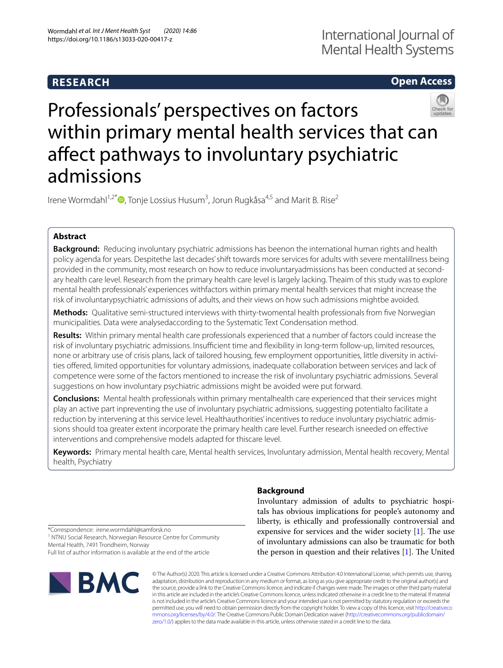# **RESEARCH**

# **Open Access**



# Professionals' perspectives on factors within primary mental health services that can afect pathways to involuntary psychiatric admissions

Irene Wormdahl<sup>1,2\*</sup> <sup>(D</sup>[,](http://orcid.org/0000-0002-4014-2113) Tonje Lossius Husum<sup>3</sup>, Jorun Rugkåsa<sup>4,5</sup> and Marit B. Rise<sup>2</sup>

# **Abstract**

**Background:** Reducing involuntary psychiatric admissions has beenon the international human rights and health policy agenda for years. Despitethe last decades' shift towards more services for adults with severe mentalillness being provided in the community, most research on how to reduce involuntaryadmissions has been conducted at secondary health care level. Research from the primary health care level is largely lacking. Theaim of this study was to explore mental health professionals' experiences withfactors within primary mental health services that might increase the risk of involuntarypsychiatric admissions of adults, and their views on how such admissions mightbe avoided.

**Methods:** Qualitative semi-structured interviews with thirty-twomental health professionals from fve Norwegian municipalities. Data were analysedaccording to the Systematic Text Condensation method.

**Results:** Within primary mental health care professionals experienced that a number of factors could increase the risk of involuntary psychiatric admissions. Insufficient time and flexibility in long-term follow-up, limited resources, none or arbitrary use of crisis plans, lack of tailored housing, few employment opportunities, little diversity in activities ofered, limited opportunities for voluntary admissions, inadequate collaboration between services and lack of competence were some of the factors mentioned to increase the risk of involuntary psychiatric admissions. Several suggestions on how involuntary psychiatric admissions might be avoided were put forward.

**Conclusions:** Mental health professionals within primary mentalhealth care experienced that their services might play an active part inpreventing the use of involuntary psychiatric admissions, suggesting potentialto facilitate a reduction by intervening at this service level. Healthauthorities' incentives to reduce involuntary psychiatric admissions should toa greater extent incorporate the primary health care level. Further research isneeded on efective interventions and comprehensive models adapted for thiscare level.

**Keywords:** Primary mental health care, Mental health services, Involuntary admission, Mental health recovery, Mental health, Psychiatry

# **Background**

Involuntary admission of adults to psychiatric hospitals has obvious implications for people's autonomy and liberty, is ethically and professionally controversial and expensive for services and the wider society  $[1]$ . The use of involuntary admissions can also be traumatic for both the person in question and their relatives  $[1]$  $[1]$ . The United

\*Correspondence: irene.wormdahl@samforsk.no <sup>1</sup> NTNU Social Research, Norwegian Resource Centre for Community Mental Health, 7491 Trondheim, Norway Full list of author information is available at the end of the article



© The Author(s) 2020. This article is licensed under a Creative Commons Attribution 4.0 International License, which permits use, sharing, adaptation, distribution and reproduction in any medium or format, as long as you give appropriate credit to the original author(s) and the source, provide a link to the Creative Commons licence, and indicate if changes were made. The images or other third party material in this article are included in the article's Creative Commons licence, unless indicated otherwise in a credit line to the material. If material is not included in the article's Creative Commons licence and your intended use is not permitted by statutory regulation or exceeds the permitted use, you will need to obtain permission directly from the copyright holder. To view a copy of this licence, visit [http://creativeco](http://creativecommons.org/licenses/by/4.0/) [mmons.org/licenses/by/4.0/.](http://creativecommons.org/licenses/by/4.0/) The Creative Commons Public Domain Dedication waiver ([http://creativecommons.org/publicdomain/](http://creativecommons.org/publicdomain/zero/1.0/) [zero/1.0/\)](http://creativecommons.org/publicdomain/zero/1.0/) applies to the data made available in this article, unless otherwise stated in a credit line to the data.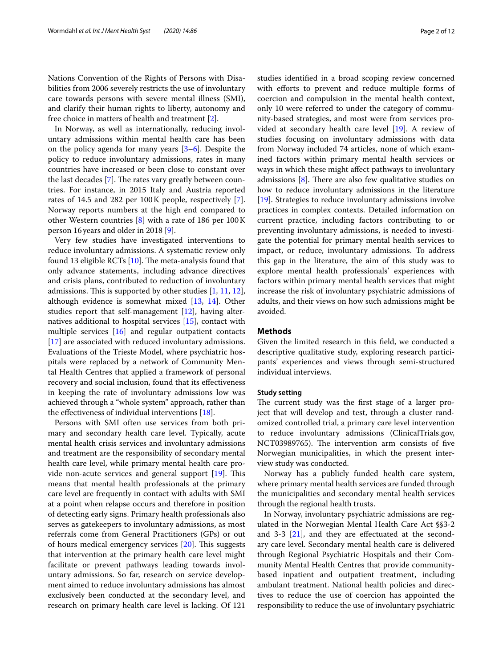Nations Convention of the Rights of Persons with Disabilities from 2006 severely restricts the use of involuntary care towards persons with severe mental illness (SMI), and clarify their human rights to liberty, autonomy and free choice in matters of health and treatment [[2\]](#page-10-1).

In Norway, as well as internationally, reducing involuntary admissions within mental health care has been on the policy agenda for many years [[3–](#page-10-2)[6\]](#page-10-3). Despite the policy to reduce involuntary admissions, rates in many countries have increased or been close to constant over the last decades  $[7]$  $[7]$ . The rates vary greatly between countries. For instance, in 2015 Italy and Austria reported rates of 14.5 and 282 per 100K people, respectively [\[7](#page-10-4)]. Norway reports numbers at the high end compared to other Western countries [[8\]](#page-10-5) with a rate of 186 per 100K person 16years and older in 2018 [\[9\]](#page-10-6).

Very few studies have investigated interventions to reduce involuntary admissions. A systematic review only found 13 eligible RCTs  $[10]$  $[10]$  $[10]$ . The meta-analysis found that only advance statements, including advance directives and crisis plans, contributed to reduction of involuntary admissions. This is supported by other studies  $[1, 11, 12]$  $[1, 11, 12]$  $[1, 11, 12]$  $[1, 11, 12]$  $[1, 11, 12]$ , although evidence is somewhat mixed [\[13](#page-10-10), [14\]](#page-10-11). Other studies report that self-management [[12\]](#page-10-9), having alternatives additional to hospital services [[15\]](#page-10-12), contact with multiple services [\[16](#page-10-13)] and regular outpatient contacts [[17\]](#page-10-14) are associated with reduced involuntary admissions. Evaluations of the Trieste Model, where psychiatric hospitals were replaced by a network of Community Mental Health Centres that applied a framework of personal recovery and social inclusion, found that its efectiveness in keeping the rate of involuntary admissions low was achieved through a "whole system" approach, rather than the efectiveness of individual interventions [[18](#page-10-15)].

Persons with SMI often use services from both primary and secondary health care level. Typically, acute mental health crisis services and involuntary admissions and treatment are the responsibility of secondary mental health care level, while primary mental health care provide non-acute services and general support  $[19]$  $[19]$  $[19]$ . This means that mental health professionals at the primary care level are frequently in contact with adults with SMI at a point when relapse occurs and therefore in position of detecting early signs. Primary health professionals also serves as gatekeepers to involuntary admissions, as most referrals come from General Practitioners (GPs) or out of hours medical emergency services  $[20]$  $[20]$ . This suggests that intervention at the primary health care level might facilitate or prevent pathways leading towards involuntary admissions. So far, research on service development aimed to reduce involuntary admissions has almost exclusively been conducted at the secondary level, and research on primary health care level is lacking. Of 121

studies identifed in a broad scoping review concerned with efforts to prevent and reduce multiple forms of coercion and compulsion in the mental health context, only 10 were referred to under the category of community-based strategies, and most were from services provided at secondary health care level [[19\]](#page-10-16). A review of studies focusing on involuntary admissions with data from Norway included 74 articles, none of which examined factors within primary mental health services or ways in which these might afect pathways to involuntary admissions  $[8]$  $[8]$  $[8]$ . There are also few qualitative studies on how to reduce involuntary admissions in the literature [[19\]](#page-10-16). Strategies to reduce involuntary admissions involve practices in complex contexts. Detailed information on current practice, including factors contributing to or preventing involuntary admissions, is needed to investigate the potential for primary mental health services to impact, or reduce, involuntary admissions. To address this gap in the literature, the aim of this study was to explore mental health professionals' experiences with

factors within primary mental health services that might increase the risk of involuntary psychiatric admissions of adults, and their views on how such admissions might be avoided.

## **Methods**

Given the limited research in this feld, we conducted a descriptive qualitative study, exploring research participants' experiences and views through semi-structured individual interviews.

## **Study setting**

The current study was the first stage of a larger project that will develop and test, through a cluster randomized controlled trial, a primary care level intervention to reduce involuntary admissions (ClinicalTrials.gov, NCT03989765). The intervention arm consists of five Norwegian municipalities, in which the present interview study was conducted.

Norway has a publicly funded health care system, where primary mental health services are funded through the municipalities and secondary mental health services through the regional health trusts.

In Norway, involuntary psychiatric admissions are regulated in the Norwegian Mental Health Care Act §§3-2 and 3-3  $[21]$ , and they are effectuated at the secondary care level. Secondary mental health care is delivered through Regional Psychiatric Hospitals and their Community Mental Health Centres that provide communitybased inpatient and outpatient treatment, including ambulant treatment. National health policies and directives to reduce the use of coercion has appointed the responsibility to reduce the use of involuntary psychiatric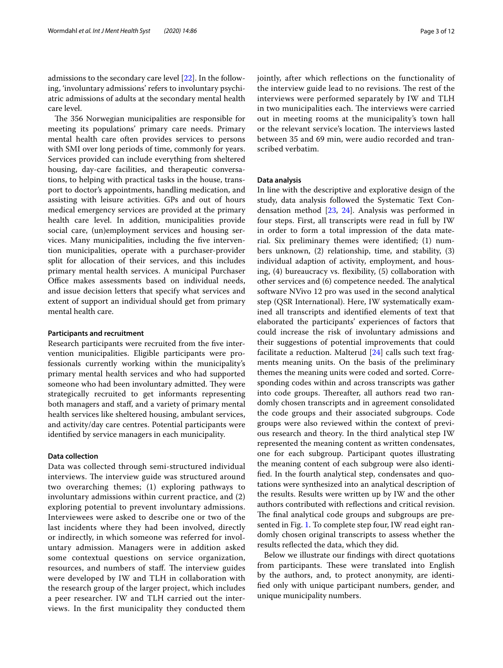admissions to the secondary care level [[22\]](#page-10-19). In the following, 'involuntary admissions' refers to involuntary psychiatric admissions of adults at the secondary mental health care level.

The 356 Norwegian municipalities are responsible for meeting its populations' primary care needs. Primary mental health care often provides services to persons with SMI over long periods of time, commonly for years. Services provided can include everything from sheltered housing, day-care facilities, and therapeutic conversations, to helping with practical tasks in the house, transport to doctor's appointments, handling medication, and assisting with leisure activities. GPs and out of hours medical emergency services are provided at the primary health care level. In addition, municipalities provide social care, (un)employment services and housing services. Many municipalities, including the fve intervention municipalities, operate with a purchaser-provider split for allocation of their services, and this includes primary mental health services. A municipal Purchaser Office makes assessments based on individual needs, and issue decision letters that specify what services and extent of support an individual should get from primary mental health care.

#### **Participants and recruitment**

Research participants were recruited from the five intervention municipalities. Eligible participants were professionals currently working within the municipality's primary mental health services and who had supported someone who had been involuntary admitted. They were strategically recruited to get informants representing both managers and staf, and a variety of primary mental health services like sheltered housing, ambulant services, and activity/day care centres. Potential participants were identifed by service managers in each municipality.

## **Data collection**

Data was collected through semi-structured individual interviews. The interview guide was structured around two overarching themes; (1) exploring pathways to involuntary admissions within current practice, and (2) exploring potential to prevent involuntary admissions. Interviewees were asked to describe one or two of the last incidents where they had been involved, directly or indirectly, in which someone was referred for involuntary admission. Managers were in addition asked some contextual questions on service organization, resources, and numbers of staff. The interview guides were developed by IW and TLH in collaboration with the research group of the larger project, which includes a peer researcher. IW and TLH carried out the interviews. In the frst municipality they conducted them jointly, after which refections on the functionality of the interview guide lead to no revisions. The rest of the interviews were performed separately by IW and TLH in two municipalities each. The interviews were carried out in meeting rooms at the municipality's town hall or the relevant service's location. The interviews lasted between 35 and 69 min, were audio recorded and transcribed verbatim.

#### **Data analysis**

In line with the descriptive and explorative design of the study, data analysis followed the Systematic Text Condensation method [\[23](#page-10-20), [24\]](#page-11-0). Analysis was performed in four steps. First, all transcripts were read in full by IW in order to form a total impression of the data material. Six preliminary themes were identifed; (1) numbers unknown, (2) relationship, time, and stability, (3) individual adaption of activity, employment, and housing, (4) bureaucracy vs. fexibility, (5) collaboration with other services and (6) competence needed. The analytical software NVivo 12 pro was used in the second analytical step (QSR International). Here, IW systematically examined all transcripts and identifed elements of text that elaborated the participants' experiences of factors that could increase the risk of involuntary admissions and their suggestions of potential improvements that could facilitate a reduction. Malterud [[24\]](#page-11-0) calls such text fragments meaning units. On the basis of the preliminary themes the meaning units were coded and sorted. Corresponding codes within and across transcripts was gather into code groups. Thereafter, all authors read two randomly chosen transcripts and in agreement consolidated the code groups and their associated subgroups. Code groups were also reviewed within the context of previous research and theory. In the third analytical step IW represented the meaning content as written condensates, one for each subgroup. Participant quotes illustrating the meaning content of each subgroup were also identifed. In the fourth analytical step, condensates and quotations were synthesized into an analytical description of the results. Results were written up by IW and the other authors contributed with refections and critical revision. The final analytical code groups and subgroups are presented in Fig. [1.](#page-3-0) To complete step four, IW read eight randomly chosen original transcripts to assess whether the results refected the data, which they did.

Below we illustrate our fndings with direct quotations from participants. These were translated into English by the authors, and, to protect anonymity, are identifed only with unique participant numbers, gender, and unique municipality numbers.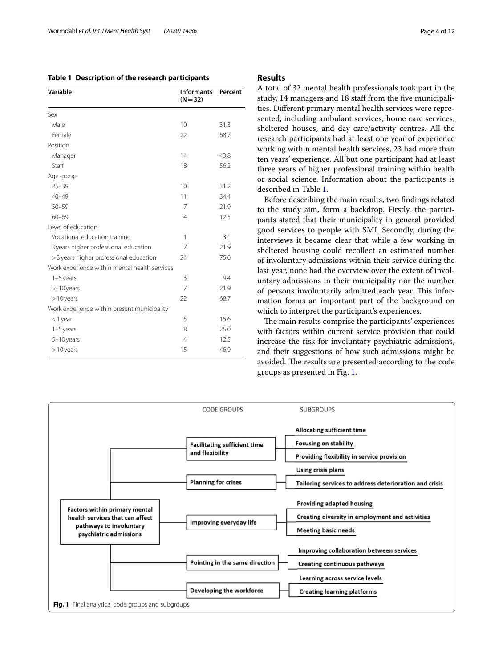<span id="page-3-1"></span>

| Table 1 Description of the research participants |
|--------------------------------------------------|
|--------------------------------------------------|

| Variable                                      | <b>Informants</b><br>$(N = 32)$ | Percent |
|-----------------------------------------------|---------------------------------|---------|
| Sex                                           |                                 |         |
| Male                                          | 10                              | 31.3    |
| Female                                        | 22                              | 68.7    |
| Position                                      |                                 |         |
| Manager                                       | 14                              | 43.8    |
| Staff                                         | 18                              | 56.2    |
| Age group                                     |                                 |         |
| $25 - 39$                                     | 10                              | 31.2    |
| $40 - 49$                                     | 11                              | 34.4    |
| $50 - 59$                                     | 7                               | 21.9    |
| $60 - 69$                                     | 4                               | 12.5    |
| Level of education                            |                                 |         |
| Vocational education training                 | 1                               | 3.1     |
| 3 years higher professional education         | 7                               | 21.9    |
| > 3 years higher professional education       | 24                              | 75.0    |
| Work experience within mental health services |                                 |         |
| $1-5$ years                                   | 3                               | 9.4     |
| 5-10 years                                    | 7                               | 21.9    |
| $>10$ years                                   | 22                              | 68.7    |
| Work experience within present municipality   |                                 |         |
| $<$ 1 year                                    | 5                               | 15.6    |
| $1-5$ years                                   | 8                               | 25.0    |
| 5-10 years                                    | 4                               | 12.5    |
| $>10$ years                                   | 15                              | 46.9    |

## **Results**

A total of 32 mental health professionals took part in the study, 14 managers and 18 staf from the fve municipalities. Diferent primary mental health services were represented, including ambulant services, home care services, sheltered houses, and day care/activity centres. All the research participants had at least one year of experience working within mental health services, 23 had more than ten years' experience. All but one participant had at least three years of higher professional training within health or social science. Information about the participants is described in Table [1.](#page-3-1)

Before describing the main results, two fndings related to the study aim, form a backdrop. Firstly, the participants stated that their municipality in general provided good services to people with SMI. Secondly, during the interviews it became clear that while a few working in sheltered housing could recollect an estimated number of involuntary admissions within their service during the last year, none had the overview over the extent of involuntary admissions in their municipality nor the number of persons involuntarily admitted each year. This information forms an important part of the background on which to interpret the participant's experiences.

The main results comprise the participants' experiences with factors within current service provision that could increase the risk for involuntary psychiatric admissions, and their suggestions of how such admissions might be avoided. The results are presented according to the code groups as presented in Fig. [1.](#page-3-0)

<span id="page-3-0"></span>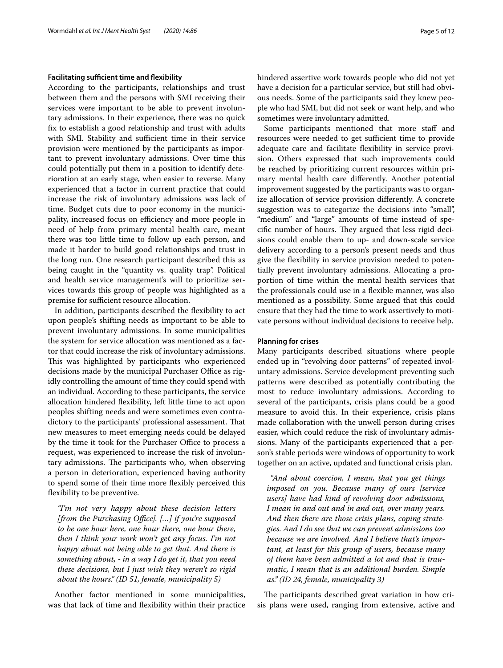#### **Facilitating sufficient time and flexibility**

According to the participants, relationships and trust between them and the persons with SMI receiving their services were important to be able to prevent involuntary admissions. In their experience, there was no quick fx to establish a good relationship and trust with adults with SMI. Stability and sufficient time in their service provision were mentioned by the participants as important to prevent involuntary admissions. Over time this could potentially put them in a position to identify deterioration at an early stage, when easier to reverse. Many experienced that a factor in current practice that could increase the risk of involuntary admissions was lack of time. Budget cuts due to poor economy in the municipality, increased focus on efficiency and more people in need of help from primary mental health care, meant there was too little time to follow up each person, and made it harder to build good relationships and trust in the long run. One research participant described this as being caught in the "quantity vs. quality trap". Political and health service management's will to prioritize services towards this group of people was highlighted as a premise for sufficient resource allocation.

In addition, participants described the fexibility to act upon people's shifting needs as important to be able to prevent involuntary admissions. In some municipalities the system for service allocation was mentioned as a factor that could increase the risk of involuntary admissions. This was highlighted by participants who experienced decisions made by the municipal Purchaser Office as rigidly controlling the amount of time they could spend with an individual. According to these participants, the service allocation hindered fexibility, left little time to act upon peoples shifting needs and were sometimes even contradictory to the participants' professional assessment. That new measures to meet emerging needs could be delayed by the time it took for the Purchaser Office to process a request, was experienced to increase the risk of involuntary admissions. The participants who, when observing a person in deterioration, experienced having authority to spend some of their time more fexibly perceived this fexibility to be preventive.

*"I'm not very happy about these decision letters [from the Purchasing Office]. [...] if you're supposed to be one hour here, one hour there, one hour there, then I think your work won't get any focus. I'm not happy about not being able to get that. And there is something about, - in a way I do get it, that you need these decisions, but I just wish they weren't so rigid about the hours." (ID 51, female, municipality 5)*

Another factor mentioned in some municipalities, was that lack of time and flexibility within their practice hindered assertive work towards people who did not yet have a decision for a particular service, but still had obvious needs. Some of the participants said they knew people who had SMI, but did not seek or want help, and who sometimes were involuntary admitted.

Some participants mentioned that more staff and resources were needed to get sufficient time to provide adequate care and facilitate fexibility in service provision. Others expressed that such improvements could be reached by prioritizing current resources within primary mental health care diferently. Another potential improvement suggested by the participants was to organize allocation of service provision diferently. A concrete suggestion was to categorize the decisions into "small", "medium" and "large" amounts of time instead of specific number of hours. They argued that less rigid decisions could enable them to up- and down-scale service delivery according to a person's present needs and thus give the fexibility in service provision needed to potentially prevent involuntary admissions. Allocating a proportion of time within the mental health services that the professionals could use in a fexible manner, was also mentioned as a possibility. Some argued that this could ensure that they had the time to work assertively to motivate persons without individual decisions to receive help.

#### **Planning for crises**

Many participants described situations where people ended up in "revolving door patterns" of repeated involuntary admissions. Service development preventing such patterns were described as potentially contributing the most to reduce involuntary admissions. According to several of the participants, crisis plans could be a good measure to avoid this. In their experience, crisis plans made collaboration with the unwell person during crises easier, which could reduce the risk of involuntary admissions. Many of the participants experienced that a person's stable periods were windows of opportunity to work together on an active, updated and functional crisis plan.

 *"And about coercion, I mean, that you get things imposed on you. Because many of ours [service users] have had kind of revolving door admissions, I mean in and out and in and out, over many years. And then there are those crisis plans, coping strategies. And I do see that we can prevent admissions too because we are involved. And I believe that's important, at least for this group of users, because many of them have been admitted a lot and that is traumatic, I mean that is an additional burden. Simple as." (ID 24, female, municipality 3)*

The participants described great variation in how crisis plans were used, ranging from extensive, active and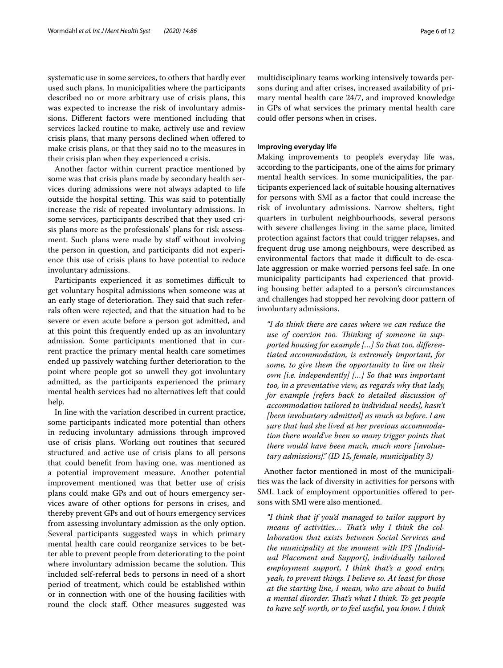systematic use in some services, to others that hardly ever used such plans. In municipalities where the participants described no or more arbitrary use of crisis plans, this was expected to increase the risk of involuntary admissions. Diferent factors were mentioned including that services lacked routine to make, actively use and review crisis plans, that many persons declined when ofered to make crisis plans, or that they said no to the measures in their crisis plan when they experienced a crisis.

Another factor within current practice mentioned by some was that crisis plans made by secondary health services during admissions were not always adapted to life outside the hospital setting. This was said to potentially increase the risk of repeated involuntary admissions. In some services, participants described that they used crisis plans more as the professionals' plans for risk assessment. Such plans were made by staff without involving the person in question, and participants did not experience this use of crisis plans to have potential to reduce involuntary admissions.

Participants experienced it as sometimes difficult to get voluntary hospital admissions when someone was at an early stage of deterioration. They said that such referrals often were rejected, and that the situation had to be severe or even acute before a person got admitted, and at this point this frequently ended up as an involuntary admission. Some participants mentioned that in current practice the primary mental health care sometimes ended up passively watching further deterioration to the point where people got so unwell they got involuntary admitted, as the participants experienced the primary mental health services had no alternatives left that could help.

In line with the variation described in current practice, some participants indicated more potential than others in reducing involuntary admissions through improved use of crisis plans. Working out routines that secured structured and active use of crisis plans to all persons that could beneft from having one, was mentioned as a potential improvement measure. Another potential improvement mentioned was that better use of crisis plans could make GPs and out of hours emergency services aware of other options for persons in crises, and thereby prevent GPs and out of hours emergency services from assessing involuntary admission as the only option. Several participants suggested ways in which primary mental health care could reorganize services to be better able to prevent people from deteriorating to the point where involuntary admission became the solution. This included self-referral beds to persons in need of a short period of treatment, which could be established within or in connection with one of the housing facilities with round the clock staf. Other measures suggested was multidisciplinary teams working intensively towards persons during and after crises, increased availability of primary mental health care 24/7, and improved knowledge in GPs of what services the primary mental health care could ofer persons when in crises.

## **Improving everyday life**

Making improvements to people's everyday life was, according to the participants, one of the aims for primary mental health services. In some municipalities, the participants experienced lack of suitable housing alternatives for persons with SMI as a factor that could increase the risk of involuntary admissions. Narrow shelters, tight quarters in turbulent neighbourhoods, several persons with severe challenges living in the same place, limited protection against factors that could trigger relapses, and frequent drug use among neighbours, were described as environmental factors that made it difficult to de-escalate aggression or make worried persons feel safe. In one municipality participants had experienced that providing housing better adapted to a person's circumstances and challenges had stopped her revolving door pattern of involuntary admissions.

*"I do think there are cases where we can reduce the use of coercion too. Tinking of someone in supported housing for example […] So that too, diferentiated accommodation, is extremely important, for some, to give them the opportunity to live on their own [i.e. independently] […] So that was important too, in a preventative view, as regards why that lady, for example [refers back to detailed discussion of accommodation tailored to individual needs], hasn't [been involuntary admitted] as much as before. I am sure that had she lived at her previous accommodation there would've been so many trigger points that there would have been much, much more [involuntary admissions]." (ID 15, female, municipality 3)*

Another factor mentioned in most of the municipalities was the lack of diversity in activities for persons with SMI. Lack of employment opportunities offered to persons with SMI were also mentioned.

*"I think that if you'd managed to tailor support by*  means of activities... That's why I think the col*laboration that exists between Social Services and the municipality at the moment with IPS [Individual Placement and Support], individually tailored employment support, I think that's a good entry, yeah, to prevent things. I believe so. At least for those at the starting line, I mean, who are about to build a mental disorder. Tat's what I think. To get people to have self-worth, or to feel useful, you know. I think*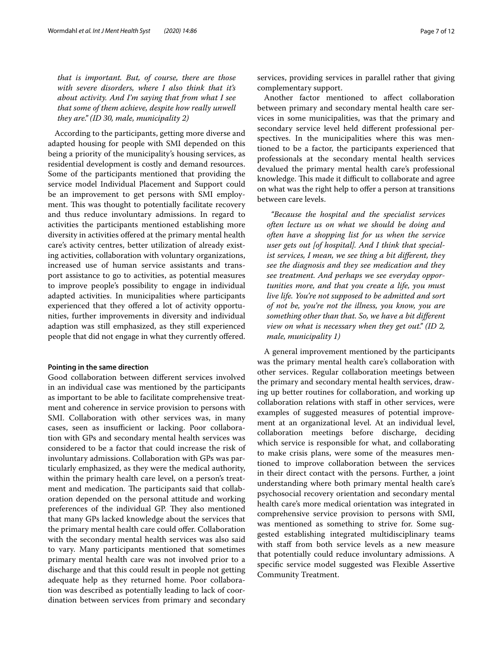*that is important. But, of course, there are those with severe disorders, where I also think that it's about activity. And I'm saying that from what I see that some of them achieve, despite how really unwell they are." (ID 30, male, municipality 2)*

According to the participants, getting more diverse and adapted housing for people with SMI depended on this being a priority of the municipality's housing services, as residential development is costly and demand resources. Some of the participants mentioned that providing the service model Individual Placement and Support could be an improvement to get persons with SMI employment. This was thought to potentially facilitate recovery and thus reduce involuntary admissions. In regard to activities the participants mentioned establishing more diversity in activities ofered at the primary mental health care's activity centres, better utilization of already existing activities, collaboration with voluntary organizations, increased use of human service assistants and transport assistance to go to activities, as potential measures to improve people's possibility to engage in individual adapted activities. In municipalities where participants experienced that they ofered a lot of activity opportunities, further improvements in diversity and individual adaption was still emphasized, as they still experienced people that did not engage in what they currently ofered.

## **Pointing in the same direction**

Good collaboration between diferent services involved in an individual case was mentioned by the participants as important to be able to facilitate comprehensive treatment and coherence in service provision to persons with SMI. Collaboration with other services was, in many cases, seen as insufficient or lacking. Poor collaboration with GPs and secondary mental health services was considered to be a factor that could increase the risk of involuntary admissions. Collaboration with GPs was particularly emphasized, as they were the medical authority, within the primary health care level, on a person's treatment and medication. The participants said that collaboration depended on the personal attitude and working preferences of the individual GP. They also mentioned that many GPs lacked knowledge about the services that the primary mental health care could offer. Collaboration with the secondary mental health services was also said to vary. Many participants mentioned that sometimes primary mental health care was not involved prior to a discharge and that this could result in people not getting adequate help as they returned home. Poor collaboration was described as potentially leading to lack of coordination between services from primary and secondary services, providing services in parallel rather that giving complementary support.

Another factor mentioned to afect collaboration between primary and secondary mental health care services in some municipalities, was that the primary and secondary service level held diferent professional perspectives. In the municipalities where this was mentioned to be a factor, the participants experienced that professionals at the secondary mental health services devalued the primary mental health care's professional knowledge. This made it difficult to collaborate and agree on what was the right help to offer a person at transitions between care levels.

 *"Because the hospital and the specialist services often lecture us on what we should be doing and often have a shopping list for us when the service user gets out [of hospital]. And I think that specialist services, I mean, we see thing a bit diferent, they see the diagnosis and they see medication and they see treatment. And perhaps we see everyday opportunities more, and that you create a life, you must live life. You're not supposed to be admitted and sort of not be, you're not the illness, you know, you are something other than that. So, we have a bit diferent view on what is necessary when they get out." (ID 2, male, municipality 1)*

A general improvement mentioned by the participants was the primary mental health care's collaboration with other services. Regular collaboration meetings between the primary and secondary mental health services, drawing up better routines for collaboration, and working up collaboration relations with staf in other services, were examples of suggested measures of potential improvement at an organizational level. At an individual level, collaboration meetings before discharge, deciding which service is responsible for what, and collaborating to make crisis plans, were some of the measures mentioned to improve collaboration between the services in their direct contact with the persons. Further, a joint understanding where both primary mental health care's psychosocial recovery orientation and secondary mental health care's more medical orientation was integrated in comprehensive service provision to persons with SMI, was mentioned as something to strive for. Some suggested establishing integrated multidisciplinary teams with staff from both service levels as a new measure that potentially could reduce involuntary admissions. A specifc service model suggested was Flexible Assertive Community Treatment.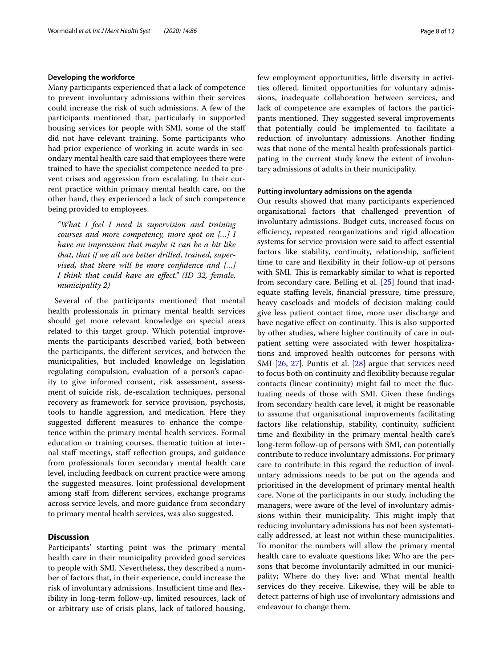#### **Developing the workforce**

Many participants experienced that a lack of competence to prevent involuntary admissions within their services could increase the risk of such admissions. A few of the participants mentioned that, particularly in supported housing services for people with SMI, some of the staf did not have relevant training. Some participants who had prior experience of working in acute wards in secondary mental health care said that employees there were trained to have the specialist competence needed to prevent crises and aggression from escalating. In their current practice within primary mental health care, on the other hand, they experienced a lack of such competence being provided to employees.

*"What I feel I need is supervision and training courses and more competency, more spot on […] I have an impression that maybe it can be a bit like that, that if we all are better drilled, trained, supervised, that there will be more confdence and […] I think that could have an efect." (ID 32, female, municipality 2)*

Several of the participants mentioned that mental health professionals in primary mental health services should get more relevant knowledge on special areas related to this target group. Which potential improvements the participants described varied, both between the participants, the diferent services, and between the municipalities, but included knowledge on legislation regulating compulsion, evaluation of a person's capacity to give informed consent, risk assessment, assessment of suicide risk, de-escalation techniques, personal recovery as framework for service provision, psychosis, tools to handle aggression, and medication. Here they suggested diferent measures to enhance the competence within the primary mental health services. Formal education or training courses, thematic tuition at internal staf meetings, staf refection groups, and guidance from professionals form secondary mental health care level, including feedback on current practice were among the suggested measures. Joint professional development among staff from different services, exchange programs across service levels, and more guidance from secondary to primary mental health services, was also suggested.

## **Discussion**

Participants' starting point was the primary mental health care in their municipality provided good services to people with SMI. Nevertheless, they described a number of factors that, in their experience, could increase the risk of involuntary admissions. Insufficient time and flexibility in long-term follow-up, limited resources, lack of or arbitrary use of crisis plans, lack of tailored housing, few employment opportunities, little diversity in activities offered, limited opportunities for voluntary admissions, inadequate collaboration between services, and lack of competence are examples of factors the participants mentioned. They suggested several improvements that potentially could be implemented to facilitate a reduction of involuntary admissions. Another fnding was that none of the mental health professionals participating in the current study knew the extent of involuntary admissions of adults in their municipality.

#### **Putting involuntary admissions on the agenda**

Our results showed that many participants experienced organisational factors that challenged prevention of involuntary admissions. Budget cuts, increased focus on efficiency, repeated reorganizations and rigid allocation systems for service provision were said to afect essential factors like stability, continuity, relationship, sufficient time to care and fexibility in their follow-up of persons with SMI. This is remarkably similar to what is reported from secondary care. Belling et al. [\[25\]](#page-11-1) found that inadequate stafng levels, fnancial pressure, time pressure, heavy caseloads and models of decision making could give less patient contact time, more user discharge and have negative effect on continuity. This is also supported by other studies, where higher continuity of care in outpatient setting were associated with fewer hospitalizations and improved health outcomes for persons with SMI [[26,](#page-11-2) [27](#page-11-3)]. Puntis et al. [\[28](#page-11-4)] argue that services need to focus both on continuity and fexibility because regular contacts (linear continuity) might fail to meet the fuctuating needs of those with SMI. Given these fndings from secondary health care level, it might be reasonable to assume that organisational improvements facilitating factors like relationship, stability, continuity, sufficient time and fexibility in the primary mental health care's long-term follow-up of persons with SMI, can potentially contribute to reduce involuntary admissions. For primary care to contribute in this regard the reduction of involuntary admissions needs to be put on the agenda and prioritised in the development of primary mental health care. None of the participants in our study, including the managers, were aware of the level of involuntary admissions within their municipality. This might imply that reducing involuntary admissions has not been systematically addressed, at least not within these municipalities. To monitor the numbers will allow the primary mental health care to evaluate questions like; Who are the persons that become involuntarily admitted in our municipality; Where do they live; and What mental health services do they receive. Likewise, they will be able to detect patterns of high use of involuntary admissions and endeavour to change them.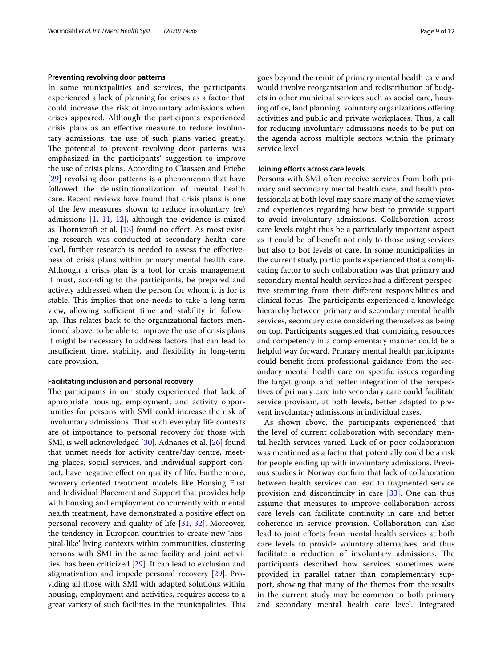#### **Preventing revolving door patterns**

In some municipalities and services, the participants experienced a lack of planning for crises as a factor that could increase the risk of involuntary admissions when crises appeared. Although the participants experienced crisis plans as an efective measure to reduce involuntary admissions, the use of such plans varied greatly. The potential to prevent revolving door patterns was emphasized in the participants' suggestion to improve the use of crisis plans. According to Claassen and Priebe [[29\]](#page-11-5) revolving door patterns is a phenomenon that have followed the deinstitutionalization of mental health care. Recent reviews have found that crisis plans is one of the few measures shown to reduce involuntary (re) admissions  $[1, 11, 12]$  $[1, 11, 12]$  $[1, 11, 12]$  $[1, 11, 12]$  $[1, 11, 12]$ , although the evidence is mixed as Thornicroft et al.  $[13]$  $[13]$  $[13]$  found no effect. As most existing research was conducted at secondary health care level, further research is needed to assess the efectiveness of crisis plans within primary mental health care. Although a crisis plan is a tool for crisis management it must, according to the participants, be prepared and actively addressed when the person for whom it is for is stable. This implies that one needs to take a long-term view, allowing sufficient time and stability in followup. This relates back to the organizational factors mentioned above: to be able to improve the use of crisis plans it might be necessary to address factors that can lead to insufficient time, stability, and flexibility in long-term care provision.

### **Facilitating inclusion and personal recovery**

The participants in our study experienced that lack of appropriate housing, employment, and activity opportunities for persons with SMI could increase the risk of involuntary admissions. That such everyday life contexts are of importance to personal recovery for those with SMI, is well acknowledged [\[30](#page-11-6)]. Ådnanes et al. [\[26\]](#page-11-2) found that unmet needs for activity centre/day centre, meeting places, social services, and individual support contact, have negative efect on quality of life. Furthermore, recovery oriented treatment models like Housing First and Individual Placement and Support that provides help with housing and employment concurrently with mental health treatment, have demonstrated a positive efect on personal recovery and quality of life [\[31](#page-11-7), [32\]](#page-11-8). Moreover, the tendency in European countries to create new 'hospital-like' living contexts within communities, clustering persons with SMI in the same facility and joint activities, has been criticized [\[29](#page-11-5)]. It can lead to exclusion and stigmatization and impede personal recovery [\[29](#page-11-5)]. Providing all those with SMI with adapted solutions within housing, employment and activities, requires access to a great variety of such facilities in the municipalities. This goes beyond the remit of primary mental health care and would involve reorganisation and redistribution of budgets in other municipal services such as social care, housing office, land planning, voluntary organizations offering activities and public and private workplaces. Thus, a call for reducing involuntary admissions needs to be put on the agenda across multiple sectors within the primary service level.

## **Joining efforts across care levels**

Persons with SMI often receive services from both primary and secondary mental health care, and health professionals at both level may share many of the same views and experiences regarding how best to provide support to avoid involuntary admissions. Collaboration across care levels might thus be a particularly important aspect as it could be of beneft not only to those using services but also to bot levels of care. In some municipalities in the current study, participants experienced that a complicating factor to such collaboration was that primary and secondary mental health services had a diferent perspective stemming from their diferent responsibilities and clinical focus. The participants experienced a knowledge hierarchy between primary and secondary mental health services, secondary care considering themselves as being on top. Participants suggested that combining resources and competency in a complementary manner could be a helpful way forward. Primary mental health participants could beneft from professional guidance from the secondary mental health care on specifc issues regarding the target group, and better integration of the perspectives of primary care into secondary care could facilitate service provision, at both levels, better adapted to prevent involuntary admissions in individual cases.

As shown above, the participants experienced that the level of current collaboration with secondary mental health services varied. Lack of or poor collaboration was mentioned as a factor that potentially could be a risk for people ending up with involuntary admissions. Previous studies in Norway confrm that lack of collaboration between health services can lead to fragmented service provision and discontinuity in care [\[33\]](#page-11-9). One can thus assume that measures to improve collaboration across care levels can facilitate continuity in care and better coherence in service provision. Collaboration can also lead to joint efforts from mental health services at both care levels to provide voluntary alternatives, and thus facilitate a reduction of involuntary admissions. The participants described how services sometimes were provided in parallel rather than complementary support, showing that many of the themes from the results in the current study may be common to both primary and secondary mental health care level. Integrated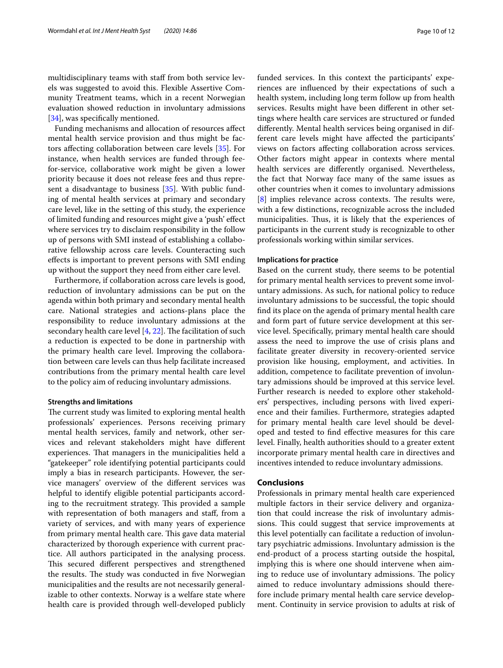multidisciplinary teams with staff from both service levels was suggested to avoid this. Flexible Assertive Community Treatment teams, which in a recent Norwegian evaluation showed reduction in involuntary admissions [[34\]](#page-11-10), was specifically mentioned.

Funding mechanisms and allocation of resources afect mental health service provision and thus might be factors afecting collaboration between care levels [\[35](#page-11-11)]. For instance, when health services are funded through feefor-service, collaborative work might be given a lower priority because it does not release fees and thus represent a disadvantage to business [\[35](#page-11-11)]. With public funding of mental health services at primary and secondary care level, like in the setting of this study, the experience of limited funding and resources might give a 'push' efect where services try to disclaim responsibility in the follow up of persons with SMI instead of establishing a collaborative fellowship across care levels. Counteracting such efects is important to prevent persons with SMI ending up without the support they need from either care level.

Furthermore, if collaboration across care levels is good, reduction of involuntary admissions can be put on the agenda within both primary and secondary mental health care. National strategies and actions-plans place the responsibility to reduce involuntary admissions at the secondary health care level  $[4, 22]$  $[4, 22]$  $[4, 22]$  $[4, 22]$ . The facilitation of such a reduction is expected to be done in partnership with the primary health care level. Improving the collaboration between care levels can thus help facilitate increased contributions from the primary mental health care level to the policy aim of reducing involuntary admissions.

#### **Strengths and limitations**

The current study was limited to exploring mental health professionals' experiences. Persons receiving primary mental health services, family and network, other services and relevant stakeholders might have diferent experiences. That managers in the municipalities held a "gatekeeper" role identifying potential participants could imply a bias in research participants. However, the service managers' overview of the diferent services was helpful to identify eligible potential participants according to the recruitment strategy. This provided a sample with representation of both managers and staff, from a variety of services, and with many years of experience from primary mental health care. This gave data material characterized by thorough experience with current practice. All authors participated in the analysing process. This secured different perspectives and strengthened the results. The study was conducted in five Norwegian municipalities and the results are not necessarily generalizable to other contexts. Norway is a welfare state where health care is provided through well-developed publicly funded services. In this context the participants' experiences are infuenced by their expectations of such a health system, including long term follow up from health services. Results might have been diferent in other settings where health care services are structured or funded diferently. Mental health services being organised in different care levels might have afected the participants' views on factors afecting collaboration across services. Other factors might appear in contexts where mental health services are diferently organised. Nevertheless, the fact that Norway face many of the same issues as other countries when it comes to involuntary admissions [[8\]](#page-10-5) implies relevance across contexts. The results were, with a few distinctions, recognizable across the included municipalities. Thus, it is likely that the experiences of participants in the current study is recognizable to other professionals working within similar services.

#### **Implications for practice**

Based on the current study, there seems to be potential for primary mental health services to prevent some involuntary admissions. As such, for national policy to reduce involuntary admissions to be successful, the topic should fnd its place on the agenda of primary mental health care and form part of future service development at this service level. Specifcally, primary mental health care should assess the need to improve the use of crisis plans and facilitate greater diversity in recovery-oriented service provision like housing, employment, and activities. In addition, competence to facilitate prevention of involuntary admissions should be improved at this service level. Further research is needed to explore other stakeholders' perspectives, including persons with lived experience and their families. Furthermore, strategies adapted for primary mental health care level should be developed and tested to fnd efective measures for this care level. Finally, health authorities should to a greater extent incorporate primary mental health care in directives and incentives intended to reduce involuntary admissions.

## **Conclusions**

Professionals in primary mental health care experienced multiple factors in their service delivery and organization that could increase the risk of involuntary admissions. This could suggest that service improvements at this level potentially can facilitate a reduction of involuntary psychiatric admissions. Involuntary admission is the end-product of a process starting outside the hospital, implying this is where one should intervene when aiming to reduce use of involuntary admissions. The policy aimed to reduce involuntary admissions should therefore include primary mental health care service development. Continuity in service provision to adults at risk of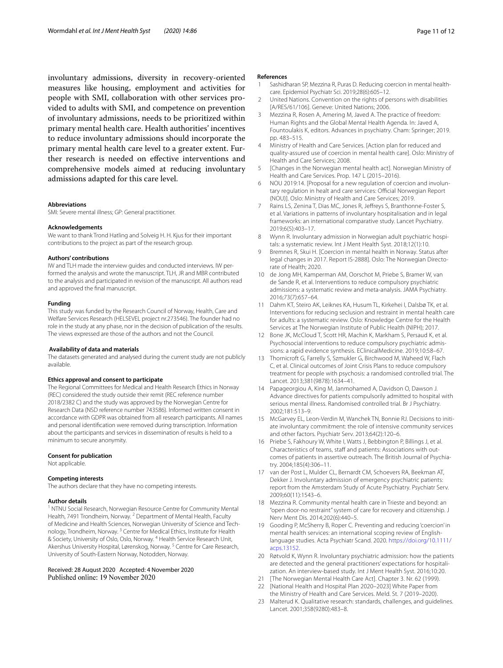involuntary admissions, diversity in recovery-oriented measures like housing, employment and activities for people with SMI, collaboration with other services provided to adults with SMI, and competence on prevention of involuntary admissions, needs to be prioritized within primary mental health care. Health authorities' incentives to reduce involuntary admissions should incorporate the primary mental health care level to a greater extent. Further research is needed on efective interventions and comprehensive models aimed at reducing involuntary admissions adapted for this care level.

#### **Abbreviations**

SMI: Severe mental illness; GP: General practitioner.

#### **Acknowledgements**

We want to thank Trond Hatling and Solveig H. H. Kjus for their important contributions to the project as part of the research group.

#### **Authors' contributions**

IW and TLH made the interview guides and conducted interviews. IW performed the analysis and wrote the manuscript. TLH, JR and MBR contributed to the analysis and participated in revision of the manuscript. All authors read and approved the fnal manuscript.

#### **Funding**

This study was funded by the Research Council of Norway, Health, Care and Welfare Services Research (HELSEVEL project nr.273546). The founder had no role in the study at any phase, nor in the decision of publication of the results. The views expressed are those of the authors and not the Council.

#### **Availability of data and materials**

The datasets generated and analysed during the current study are not publicly available.

#### **Ethics approval and consent to participate**

The Regional Committees for Medical and Health Research Ethics in Norway (REC) considered the study outside their remit (REC reference number 2018/2382 C) and the study was approved by the Norwegian Centre for Research Data (NSD reference number 743586). Informed written consent in accordance with GDPR was obtained from all research participants. All names and personal identifcation were removed during transcription. Information about the participants and services in dissemination of results is held to a minimum to secure anonymity.

#### **Consent for publication**

Not applicable.

#### **Competing interests**

The authors declare that they have no competing interests.

#### **Author details**

<sup>1</sup> NTNU Social Research, Norwegian Resource Centre for Community Mental Health, 7491 Trondheim, Norway. <sup>2</sup> Department of Mental Health, Faculty of Medicine and Health Sciences, Norwegian University of Science and Technology, Trondheim, Norway.<sup>3</sup> Centre for Medical Ethics, Institute for Health & Society, University of Oslo, Oslo, Norway. 4 Health Service Research Unit, Akershus University Hospital, Lørenskog, Norway. 5 Centre for Care Research, University of South-Eastern Norway, Notodden, Norway.

Received: 28 August 2020 Accepted: 4 November 2020

#### **References**

- <span id="page-10-0"></span>Sashidharan SP, Mezzina R, Puras D. Reducing coercion in mental healthcare. Epidemiol Psychiatr Sci. 2019;28(6):605–12.
- <span id="page-10-1"></span>2 United Nations. Convention on the rights of persons with disabilities [A/RES/61/106]. Geneve: United Nations; 2006.
- <span id="page-10-2"></span>Mezzina R, Rosen A, Amering M, Javed A. The practice of freedom: Human Rights and the Global Mental Health Agenda. In: Javed A, Fountoulakis K, editors. Advances in psychiatry. Cham: Springer; 2019. pp. 483–515.
- <span id="page-10-21"></span>4 Ministry of Health and Care Services. [Action plan for reduced and quality-assured use of coercion in mental health care]. Oslo: Ministry of Health and Care Services; 2008.
- 5 [Changes in the Norwegian mental health act]. Norwegian Ministry of Health and Care Services. Prop. 147 L (2015–2016).
- <span id="page-10-3"></span>6 NOU 2019:14. [Proposal for a new regulation of coercion and involuntary regulation in healt and care services: Official Norwegian Report (NOU)]. Oslo: Ministry of Health and Care Services; 2019.
- <span id="page-10-4"></span>7 Rains LS, Zenina T, Dias MC, Jones R, Jefreys S, Branthonne-Foster S, et al. Variations in patterns of involuntary hospitalisation and in legal frameworks: an international comparative study. Lancet Psychiatry. 2019;6(5):403–17.
- <span id="page-10-5"></span>8 Wynn R. Involuntary admission in Norwegian adult psychiatric hospitals: a systematic review. Int J Ment Health Syst. 2018;12(1):10.
- <span id="page-10-6"></span>9 Bremnes R, Skui H. [Coercion in mental health in Norway. Status after legal changes in 2017. Report IS-2888]. Oslo: The Norwegian Directorate of Health; 2020.
- <span id="page-10-7"></span>10 de Jong MH, Kamperman AM, Oorschot M, Priebe S, Bramer W, van de Sande R, et al. Interventions to reduce compulsory psychiatric admissions: a systematic review and meta-analysis. JAMA Psychiatry. 2016;73(7):657–64.
- <span id="page-10-8"></span>11 Dahm KT, Steiro AK, Leiknes KA, Husum TL, Kirkehei I, Dalsbø TK, et al. Interventions for reducing seclusion and restraint in mental health care for adults: a systematic review. Oslo: Knowledge Centre for the Health Services at The Norwegian Institute of Public Health (NIPH); 2017.
- <span id="page-10-9"></span>12 Bone JK, McCloud T, Scott HR, Machin K, Markham S, Persaud K, et al. Psychosocial interventions to reduce compulsory psychiatric admissions: a rapid evidence synthesis. EClinicalMedicine. 2019;10:58–67.
- <span id="page-10-10"></span>13 Thornicroft G, Farrelly S, Szmukler G, Birchwood M, Waheed W, Flach C, et al. Clinical outcomes of Joint Crisis Plans to reduce compulsory treatment for people with psychosis: a randomised controlled trial. The Lancet. 2013;381(9878):1634–41.
- <span id="page-10-11"></span>14 Papageorgiou A, King M, Janmohamed A, Davidson O, Dawson J. Advance directives for patients compulsorily admitted to hospital with serious mental illness. Randomised controlled trial. Br J Psychiatry. 2002;181:513–9.
- <span id="page-10-12"></span>15 McGarvey EL, Leon-Verdin M, Wanchek TN, Bonnie RJ. Decisions to initiate involuntary commitment: the role of intensive community services and other factors. Psychiatr Serv. 2013;64(2):120–6.
- <span id="page-10-13"></span>16 Priebe S, Fakhoury W, White I, Watts J, Bebbington P, Billings J, et al. Characteristics of teams, staff and patients: Associations with outcomes of patients in assertive outreach. The British Journal of Psychiatry. 2004;185(4):306–11.
- <span id="page-10-14"></span>17 van der Post L, Mulder CL, Bernardt CM, Schoevers RA, Beekman AT, Dekker J. Involuntary admission of emergency psychiatric patients: report from the Amsterdam Study of Acute Psychiatry. Psychiatr Serv. 2009;60(11):1543–6.
- <span id="page-10-15"></span>18 Mezzina R. Community mental health care in Trieste and beyond: an "open door-no restraint" system of care for recovery and citizenship. J Nerv Ment Dis. 2014;202(6):440–5.
- <span id="page-10-16"></span>19 Gooding P, McSherry B, Roper C. Preventing and reducing 'coercion' in mental health services: an international scoping review of Englishlanguage studies. Acta Psychiatr Scand. 2020. [https://doi.org/10.1111/](https://doi.org/10.1111/acps.13152) [acps.13152.](https://doi.org/10.1111/acps.13152)
- <span id="page-10-17"></span>20 Røtvold K, Wynn R. Involuntary psychiatric admission: how the patients are detected and the general practitioners' expectations for hospitalization. An interview-based study. Int J Ment Health Syst. 2016;10:20.
- <span id="page-10-18"></span>21 [The Norwegian Mental Health Care Act]. Chapter 3. Nr. 62 (1999).
- <span id="page-10-19"></span>22 [National Health and Hospital Plan 2020–2023] White Paper from the Ministry of Health and Care Services. Meld. St. 7 (2019–2020).
- <span id="page-10-20"></span>23 Malterud K. Qualitative research: standards, challenges, and quidelines. Lancet. 2001;358(9280):483–8.